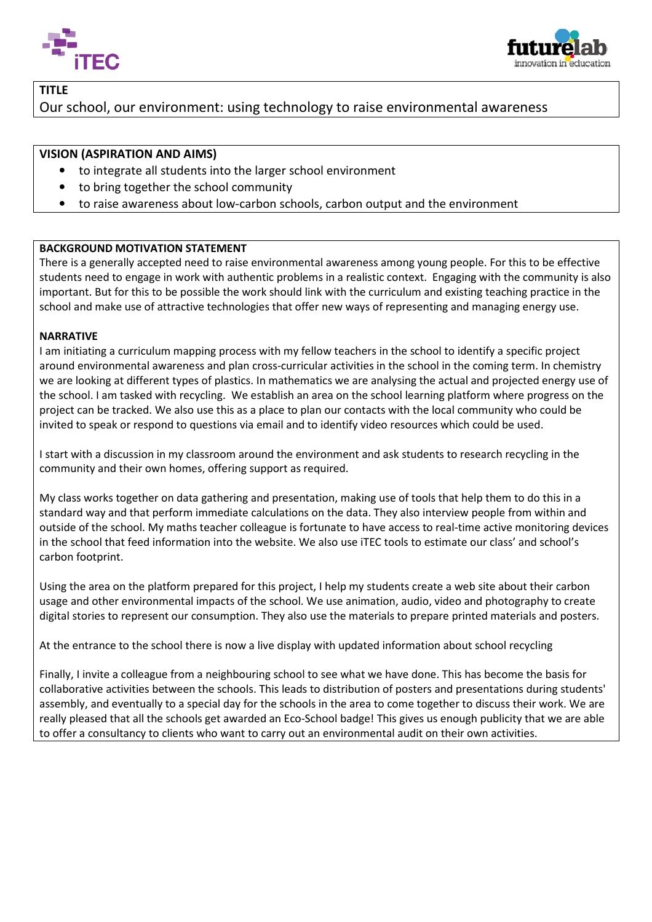



TITLE

# Our school, our environment: using technology to raise environmental awareness

## VISION (ASPIRATION AND AIMS)

- to integrate all students into the larger school environment
- to bring together the school community
- to bring together the school community<br>• to raise awareness about low-carbon schools, carbon output and the environment

#### BACKGROUND MOTIVATION STATEMENT

There is a generally accepted need to raise environmental awareness among young people. For this to be effective students need to engage in work with authentic problems in a realistic context. Engaging with the community is also important. But for this to be possible the work should link with the curriculum and existing teaching practice in the school and make use of attractive technologies that offer new ways of representing and managing energy use.

#### NARRATIVE

I am initiating a curriculum mapping process with my fellow teachers in the school to identify a specific project around environmental awareness and plan cross-curricular activities in the school in the coming term. In chemistry we are looking at different types of plastics. In mathematics we are analysing the actual and projected energy use of the school. I am tasked with recycling. We establish an area on the school learning platform where progress on the project can be tracked. We also use this as a place to plan our contacts with the local community who could be invited to speak or respond to questions via email and to identify video resources which could be used.

I start with a discussion in my classroom around the environment and ask students to research recycling in the community and their own homes, offering support as required.

My class works together on data gathering and presentation, making use of tools that help them to do this in a standard way and that perform immediate calculations on the data. They also interview people from within and outside of the school. My maths teacher colleague is fortunate to have access to real-time active monitoring devices in the school that feed information into the website. We also use iTEC tools to estimate our class' and school's carbon footprint.

Using the area on the platform prepared for this project, I help my students create a web site about their carbon usage and other environmental impacts of the school. We use animation, audio, video and photography to create digital stories to represent our consumption. They also use the materials to prepare printed materials and posters.

At the entrance to the school there is now a live display with updated information about school recycling

Finally, I invite a colleague from a neighbouring school to see what we have done. This has become the basis for collaborative activities between the schools. This leads to distribution of posters and presentations during students' assembly, and eventually to a special day for the schools in the area to come together to discuss their work. We are<br>really pleased that all the schools get awarded an Eco-School badge! This gives us enough publicity that really pleased that all the schools get awarded an Eco-School badge! This gives us enough publicity that we are to offer a consultancy to clients who want to carry out an environmental audit on their own activities. Ι